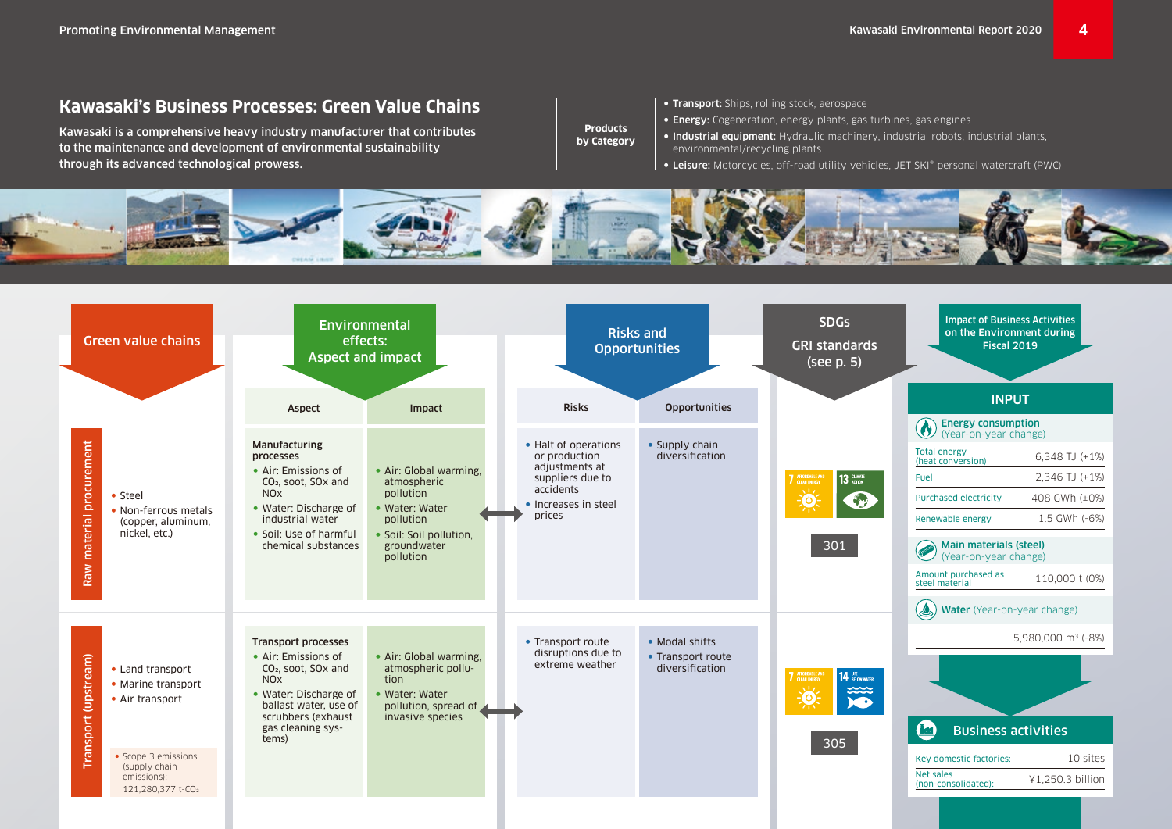## **Kawasaki's Business Processes: Green Value Chains**

Kawasaki is a comprehensive heavy industry manufacturer that contributes to the maintenance and development of environmental sustainability through its advanced technological prowess.

- **Products by Category**
- Transport: Ships, rolling stock, aerospace
- Energy: Cogeneration, energy plants, gas turbines, gas engines
- Industrial equipment: Hydraulic machinery, industrial robots, industrial plants, environmental/recycling plants
- Leisure: Motorcycles, off-road utility vehicles, JET SKI® personal watercraft (PWC)